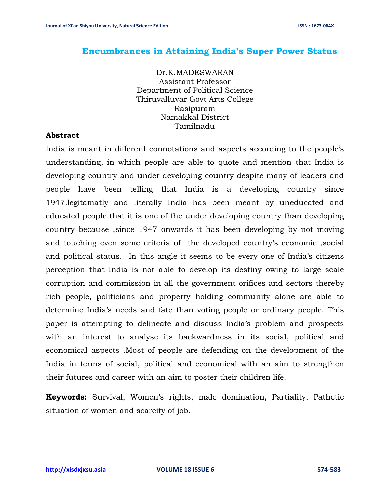## **Encumbrances in Attaining India's Super Power Status**

Dr.K.MADESWARAN Assistant Professor Department of Political Science Thiruvalluvar Govt Arts College Rasipuram Namakkal District Tamilnadu

### **Abstract**

India is meant in different connotations and aspects according to the people's understanding, in which people are able to quote and mention that India is developing country and under developing country despite many of leaders and people have been telling that India is a developing country since 1947.legitamatly and literally India has been meant by uneducated and educated people that it is one of the under developing country than developing country because ,since 1947 onwards it has been developing by not moving and touching even some criteria of the developed country's economic ,social and political status. In this angle it seems to be every one of India's citizens perception that India is not able to develop its destiny owing to large scale corruption and commission in all the government orifices and sectors thereby rich people, politicians and property holding community alone are able to determine India's needs and fate than voting people or ordinary people. This paper is attempting to delineate and discuss India's problem and prospects with an interest to analyse its backwardness in its social, political and economical aspects .Most of people are defending on the development of the India in terms of social, political and economical with an aim to strengthen their futures and career with an aim to poster their children life.

**Keywords:** Survival, Women's rights, male domination, Partiality, Pathetic situation of women and scarcity of job.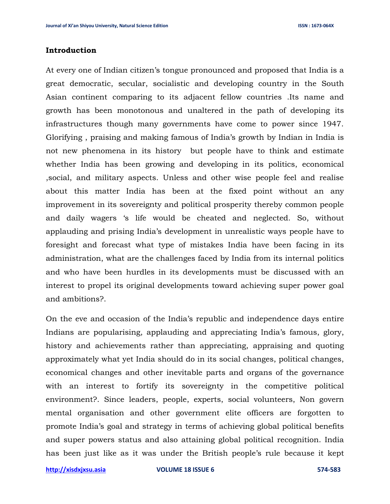#### **Introduction**

At every one of Indian citizen's tongue pronounced and proposed that India is a great democratic, secular, socialistic and developing country in the South Asian continent comparing to its adjacent fellow countries .Its name and growth has been monotonous and unaltered in the path of developing its infrastructures though many governments have come to power since 1947. Glorifying , praising and making famous of India's growth by Indian in India is not new phenomena in its history but people have to think and estimate whether India has been growing and developing in its politics, economical ,social, and military aspects. Unless and other wise people feel and realise about this matter India has been at the fixed point without an any improvement in its sovereignty and political prosperity thereby common people and daily wagers 's life would be cheated and neglected. So, without applauding and prising India's development in unrealistic ways people have to foresight and forecast what type of mistakes India have been facing in its administration, what are the challenges faced by India from its internal politics and who have been hurdles in its developments must be discussed with an interest to propel its original developments toward achieving super power goal and ambitions?.

On the eve and occasion of the India's republic and independence days entire Indians are popularising, applauding and appreciating India's famous, glory, history and achievements rather than appreciating, appraising and quoting approximately what yet India should do in its social changes, political changes, economical changes and other inevitable parts and organs of the governance with an interest to fortify its sovereignty in the competitive political environment?. Since leaders, people, experts, social volunteers, Non govern mental organisation and other government elite officers are forgotten to promote India's goal and strategy in terms of achieving global political benefits and super powers status and also attaining global political recognition. India has been just like as it was under the British people's rule because it kept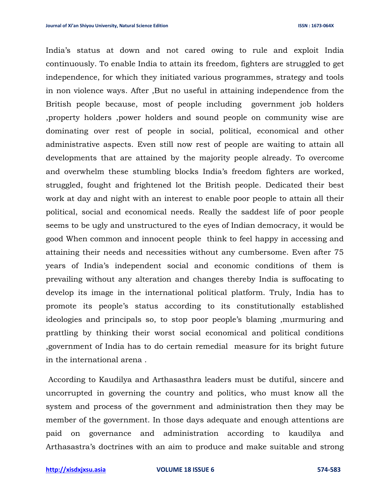India's status at down and not cared owing to rule and exploit India continuously. To enable India to attain its freedom, fighters are struggled to get independence, for which they initiated various programmes, strategy and tools in non violence ways. After ,But no useful in attaining independence from the British people because, most of people including government job holders ,property holders ,power holders and sound people on community wise are dominating over rest of people in social, political, economical and other administrative aspects. Even still now rest of people are waiting to attain all developments that are attained by the majority people already. To overcome and overwhelm these stumbling blocks India's freedom fighters are worked, struggled, fought and frightened lot the British people. Dedicated their best work at day and night with an interest to enable poor people to attain all their political, social and economical needs. Really the saddest life of poor people seems to be ugly and unstructured to the eyes of Indian democracy, it would be good When common and innocent people think to feel happy in accessing and attaining their needs and necessities without any cumbersome. Even after 75 years of India's independent social and economic conditions of them is prevailing without any alteration and changes thereby India is suffocating to develop its image in the international political platform. Truly, India has to promote its people's status according to its constitutionally established ideologies and principals so, to stop poor people's blaming ,murmuring and prattling by thinking their worst social economical and political conditions ,government of India has to do certain remedial measure for its bright future in the international arena .

According to Kaudilya and Arthasasthra leaders must be dutiful, sincere and uncorrupted in governing the country and politics, who must know all the system and process of the government and administration then they may be member of the government. In those days adequate and enough attentions are paid on governance and administration according to kaudilya and Arthasastra's doctrines with an aim to produce and make suitable and strong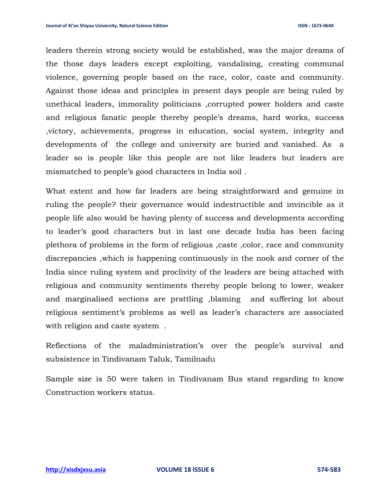leaders therein strong society would be established, was the major dreams of the those days leaders except exploiting, vandalising, creating communal violence, governing people based on the race, color, caste and community. Against those ideas and principles in present days people are being ruled by unethical leaders, immorality politicians ,corrupted power holders and caste and religious fanatic people thereby people's dreams, hard works, success ,victory, achievements, progress in education, social system, integrity and developments of the college and university are buried and vanished. As a leader so is people like this people are not like leaders but leaders are mismatched to people's good characters in India soil .

What extent and how far leaders are being straightforward and genuine in ruling the people? their governance would indestructible and invincible as it people life also would be having plenty of success and developments according to leader's good characters but in last one decade India has been facing plethora of problems in the form of religious ,caste ,color, race and community discrepancies ,which is happening continuously in the nook and corner of the India since ruling system and proclivity of the leaders are being attached with religious and community sentiments thereby people belong to lower, weaker and marginalised sections are prattling ,blaming and suffering lot about religious sentiment's problems as well as leader's characters are associated with religion and caste system .

Reflections of the maladministration's over the people's survival and subsistence in Tindivanam Taluk, Tamilnadu

Sample size is 50 were taken in Tindivanam Bus stand regarding to know Construction workers status.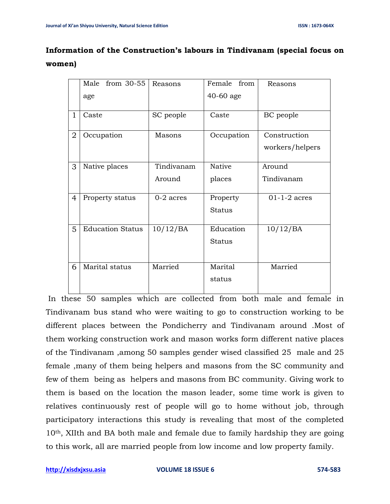# **Information of the Construction's labours in Tindivanam (special focus on women)**

|              | Male from 30-55         | Reasons     | Female<br>from | Reasons         |
|--------------|-------------------------|-------------|----------------|-----------------|
|              | age                     |             | 40-60 age      |                 |
| $\mathbf{1}$ | Caste                   | SC people   | Caste          | BC people       |
| 2            | Occupation              | Masons      | Occupation     | Construction    |
|              |                         |             |                | workers/helpers |
| 3            | Native places           | Tindivanam  | <b>Native</b>  | Around          |
|              |                         | Around      | places         | Tindivanam      |
| 4            | Property status         | $0-2$ acres | Property       | $01-1-2$ acres  |
|              |                         |             | <b>Status</b>  |                 |
| 5            | <b>Education Status</b> | 10/12/BA    | Education      | 10/12/BA        |
|              |                         |             | <b>Status</b>  |                 |
|              |                         |             |                |                 |
| 6            | Marital status          | Married     | Marital        | Married         |
|              |                         |             | status         |                 |
|              |                         |             |                |                 |

In these 50 samples which are collected from both male and female in Tindivanam bus stand who were waiting to go to construction working to be different places between the Pondicherry and Tindivanam around .Most of them working construction work and mason works form different native places of the Tindivanam ,among 50 samples gender wised classified 25 male and 25 female ,many of them being helpers and masons from the SC community and few of them being as helpers and masons from BC community. Giving work to them is based on the location the mason leader, some time work is given to relatives continuously rest of people will go to home without job, through participatory interactions this study is revealing that most of the completed 10th, XIIth and BA both male and female due to family hardship they are going to this work, all are married people from low income and low property family.

**[http://xisdxjxsu.asia](http://xisdxjxsu.asia/) VOLUME 18 ISSUE 6 574-583**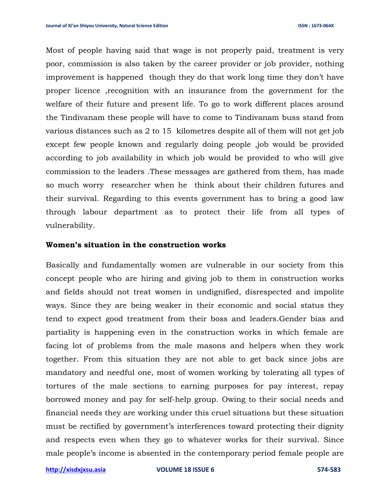Most of people having said that wage is not properly paid, treatment is very poor, commission is also taken by the career provider or job provider, nothing improvement is happened though they do that work long time they don't have proper licence ,recognition with an insurance from the government for the welfare of their future and present life. To go to work different places around the Tindivanam these people will have to come to Tindivanam buss stand from various distances such as 2 to 15 kilometres despite all of them will not get job except few people known and regularly doing people ,job would be provided according to job availability in which job would be provided to who will give commission to the leaders .These messages are gathered from them, has made so much worry researcher when he think about their children futures and their survival. Regarding to this events government has to bring a good law through labour department as to protect their life from all types of vulnerability.

#### **Women's situation in the construction works**

Basically and fundamentally women are vulnerable in our society from this concept people who are hiring and giving job to them in construction works and fields should not treat women in undignified, disrespected and impolite ways. Since they are being weaker in their economic and social status they tend to expect good treatment from their boss and leaders.Gender bias and partiality is happening even in the construction works in which female are facing lot of problems from the male masons and helpers when they work together. From this situation they are not able to get back since jobs are mandatory and needful one, most of women working by tolerating all types of tortures of the male sections to earning purposes for pay interest, repay borrowed money and pay for self-help group. Owing to their social needs and financial needs they are working under this cruel situations but these situation must be rectified by government's interferences toward protecting their dignity and respects even when they go to whatever works for their survival. Since male people's income is absented in the contemporary period female people are

**[http://xisdxjxsu.asia](http://xisdxjxsu.asia/) VOLUME 18 ISSUE 6 574-583**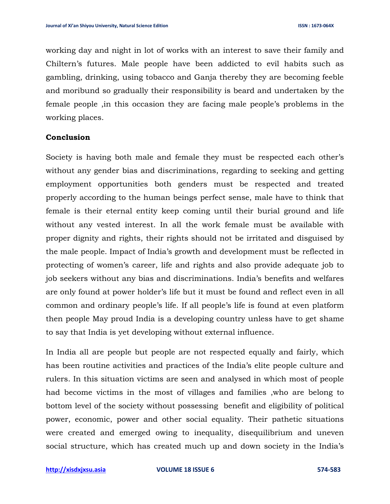working day and night in lot of works with an interest to save their family and Chiltern's futures. Male people have been addicted to evil habits such as gambling, drinking, using tobacco and Ganja thereby they are becoming feeble and moribund so gradually their responsibility is beard and undertaken by the female people ,in this occasion they are facing male people's problems in the working places.

### **Conclusion**

Society is having both male and female they must be respected each other's without any gender bias and discriminations, regarding to seeking and getting employment opportunities both genders must be respected and treated properly according to the human beings perfect sense, male have to think that female is their eternal entity keep coming until their burial ground and life without any vested interest. In all the work female must be available with proper dignity and rights, their rights should not be irritated and disguised by the male people. Impact of India's growth and development must be reflected in protecting of women's career, life and rights and also provide adequate job to job seekers without any bias and discriminations. India's benefits and welfares are only found at power holder's life but it must be found and reflect even in all common and ordinary people's life. If all people's life is found at even platform then people May proud India is a developing country unless have to get shame to say that India is yet developing without external influence.

In India all are people but people are not respected equally and fairly, which has been routine activities and practices of the India's elite people culture and rulers. In this situation victims are seen and analysed in which most of people had become victims in the most of villages and families ,who are belong to bottom level of the society without possessing benefit and eligibility of political power, economic, power and other social equality. Their pathetic situations were created and emerged owing to inequality, disequilibrium and uneven social structure, which has created much up and down society in the India's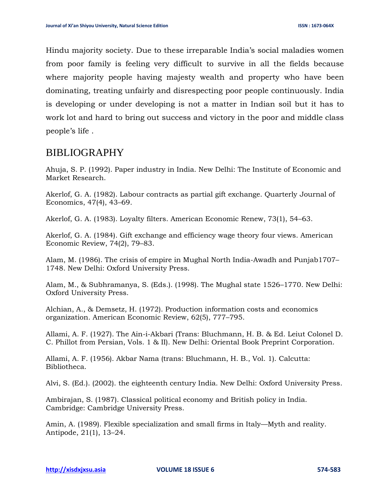Hindu majority society. Due to these irreparable India's social maladies women from poor family is feeling very difficult to survive in all the fields because where majority people having majesty wealth and property who have been dominating, treating unfairly and disrespecting poor people continuously. India is developing or under developing is not a matter in Indian soil but it has to work lot and hard to bring out success and victory in the poor and middle class people's life .

# BIBLIOGRAPHY

Ahuja, S. P. (1992). Paper industry in India. New Delhi: The Institute of Economic and Market Research.

Akerlof, G. A. (1982). Labour contracts as partial gift exchange. Quarterly Journal of Economics, 47(4), 43–69.

Akerlof, G. A. (1983). Loyalty filters. American Economic Renew, 73(1), 54–63.

Akerlof, G. A. (1984). Gift exchange and efficiency wage theory four views. American Economic Review, 74(2), 79–83.

Alam, M. (1986). The crisis of empire in Mughal North India-Awadh and Punjab1707– 1748. New Delhi: Oxford University Press.

Alam, M., & Subhramanya, S. (Eds.). (1998). The Mughal state 1526–1770. New Delhi: Oxford University Press.

Alchian, A., & Demsetz, H. (1972). Production information costs and economics organization. American Economic Review, 62(5), 777–795.

Allami, A. F. (1927). The Ain-i-Akbari (Trans: Bluchmann, H. B. & Ed. Leiut Colonel D. C. Phillot from Persian, Vols. 1 & II). New Delhi: Oriental Book Preprint Corporation.

Allami, A. F. (1956). Akbar Nama (trans: Bluchmann, H. B., Vol. 1). Calcutta: Bibliotheca.

Alvi, S. (Ed.). (2002). the eighteenth century India. New Delhi: Oxford University Press.

Ambirajan, S. (1987). Classical political economy and British policy in India. Cambridge: Cambridge University Press.

Amin, A. (1989). Flexible specialization and small firms in Italy—Myth and reality. Antipode, 21(1), 13–24.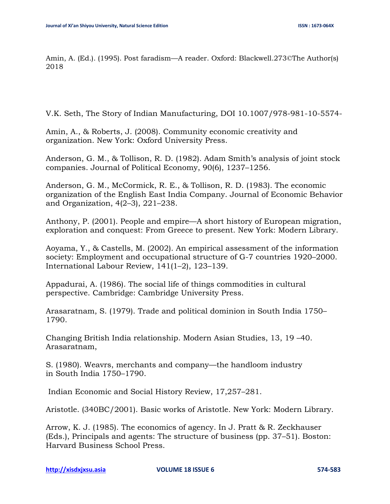Amin, A. (Ed.). (1995). Post faradism—A reader. Oxford: Blackwell.273©The Author(s) 2018

V.K. Seth, The Story of Indian Manufacturing, DOI 10.1007/978-981-10-5574-

Amin, A., & Roberts, J. (2008). Community economic creativity and organization. New York: Oxford University Press.

Anderson, G. M., & Tollison, R. D. (1982). Adam Smith's analysis of joint stock companies. Journal of Political Economy, 90(6), 1237–1256.

Anderson, G. M., McCormick, R. E., & Tollison, R. D. (1983). The economic organization of the English East India Company. Journal of Economic Behavior and Organization, 4(2–3), 221–238.

Anthony, P. (2001). People and empire—A short history of European migration, exploration and conquest: From Greece to present. New York: Modern Library.

Aoyama, Y., & Castells, M. (2002). An empirical assessment of the information society: Employment and occupational structure of G-7 countries 1920–2000. International Labour Review, 141(1–2), 123–139.

Appadurai, A. (1986). The social life of things commodities in cultural perspective. Cambridge: Cambridge University Press.

Arasaratnam, S. (1979). Trade and political dominion in South India 1750– 1790.

Changing British India relationship. Modern Asian Studies, 13, 19 –40. Arasaratnam,

S. (1980). Weavrs, merchants and company—the handloom industry in South India 1750–1790.

Indian Economic and Social History Review, 17,257–281.

Aristotle. (340BC/2001). Basic works of Aristotle. New York: Modern Library.

Arrow, K. J. (1985). The economics of agency. In J. Pratt & R. Zeckhauser (Eds.), Principals and agents: The structure of business (pp. 37–51). Boston: Harvard Business School Press.